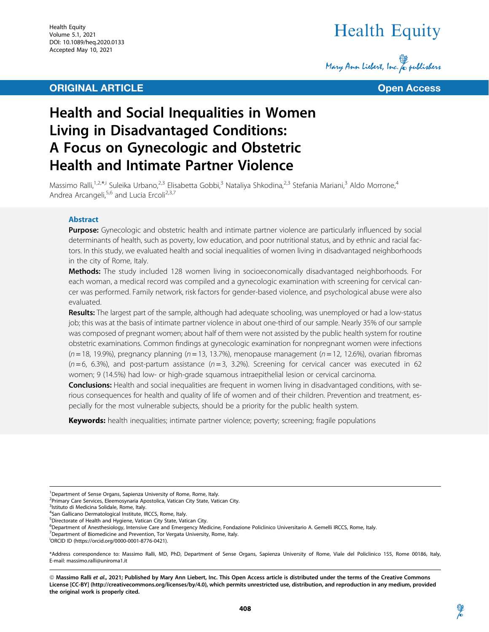## **ORIGINAL ARTICLE CONSUMING ARTICLE CONSUMING A SET OPEN ACCESS**

# Health Equity

Mary Ann Liebert, Inc. & publishers



## Health and Social Inequalities in Women Living in Disadvantaged Conditions: A Focus on Gynecologic and Obstetric Health and Intimate Partner Violence

Massimo Ralli,<sup>1,2,\*,i</sup> Suleika Urbano,<sup>2,3</sup> Elisabetta Gobbi,<sup>3</sup> Nataliya Shkodina,<sup>2,3</sup> Stefania Mariani,<sup>3</sup> Aldo Morrone,<sup>4</sup> Andrea Arcangeli,<sup>5,6</sup> and Lucia Ercoli<sup>2,3,7</sup>

## Abstract

Purpose: Gynecologic and obstetric health and intimate partner violence are particularly influenced by social determinants of health, such as poverty, low education, and poor nutritional status, and by ethnic and racial factors. In this study, we evaluated health and social inequalities of women living in disadvantaged neighborhoods in the city of Rome, Italy.

Methods: The study included 128 women living in socioeconomically disadvantaged neighborhoods. For each woman, a medical record was compiled and a gynecologic examination with screening for cervical cancer was performed. Family network, risk factors for gender-based violence, and psychological abuse were also evaluated.

Results: The largest part of the sample, although had adequate schooling, was unemployed or had a low-status job; this was at the basis of intimate partner violence in about one-third of our sample. Nearly 35% of our sample was composed of pregnant women; about half of them were not assisted by the public health system for routine obstetric examinations. Common findings at gynecologic examination for nonpregnant women were infections  $(n = 18, 19.9%)$ , pregnancy planning ( $n = 13, 13.7%$ ), menopause management ( $n = 12, 12.6%$ ), ovarian fibromas  $(n=6, 6.3%)$ , and post-partum assistance  $(n=3, 3.2%)$ . Screening for cervical cancer was executed in 62 women; 9 (14.5%) had low- or high-grade squamous intraepithelial lesion or cervical carcinoma.

**Conclusions:** Health and social inequalities are frequent in women living in disadvantaged conditions, with serious consequences for health and quality of life of women and of their children. Prevention and treatment, especially for the most vulnerable subjects, should be a priority for the public health system.

Keywords: health inequalities; intimate partner violence; poverty; screening; fragile populations

<sup>1</sup>Department of Sense Organs, Sapienza University of Rome, Rome, Italy.

<sup>2</sup> Primary Care Services, Eleemosynaria Apostolica, Vatican City State, Vatican City.

<sup>3</sup>Istituto di Medicina Solidale, Rome, Italy.

<sup>7</sup>Department of Biomedicine and Prevention, Tor Vergata University, Rome, Italy.

<sup>4</sup> San Gallicano Dermatological Institute, IRCCS, Rome, Italy.

<sup>5</sup> Directorate of Health and Hygiene, Vatican City State, Vatican City.

<sup>6</sup> Department of Anesthesiology, Intensive Care and Emergency Medicine, Fondazione Policlinico Universitario A. Gemelli IRCCS, Rome, Italy.

i ORCID ID [\(https://orcid.org/0000-0001-8776-0421\)](https://orcid.org/0000-0001-8776-0421).

<sup>\*</sup>Address correspondence to: Massimo Ralli, MD, PhD, Department of Sense Organs, Sapienza University of Rome, Viale del Policlinico 155, Rome 00186, Italy, E-mail: massimo.ralli@uniroma1.it

<sup>©</sup> Massimo Ralli et al., 2021; Published by Mary Ann Liebert, Inc. This Open Access article is distributed under the terms of the Creative Commons License [CC-BY] ([http://creativecommons.org/licenses/by/4.0\)](http://creativecommons.org/licenses/by/4.0), which permits unrestricted use, distribution, and reproduction in any medium, provided the original work is properly cited.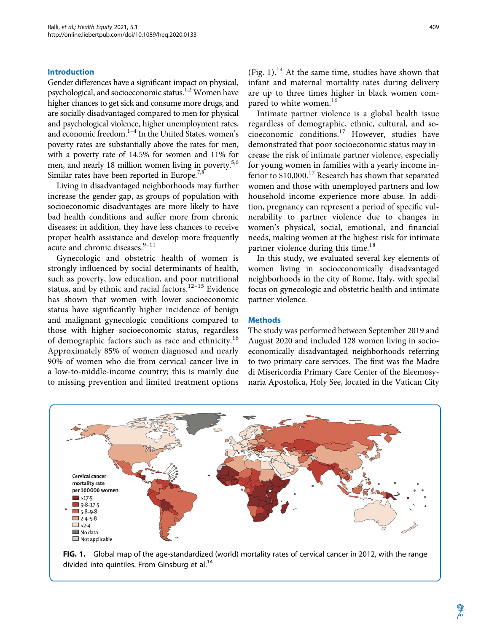## Introduction

Gender differences have a significant impact on physical, psychological, and socioeconomic status.<sup>1,2</sup> Women have higher chances to get sick and consume more drugs, and are socially disadvantaged compared to men for physical and psychological violence, higher unemployment rates, and economic freedom.<sup>1-4</sup> In the United States, women's poverty rates are substantially above the rates for men, with a poverty rate of 14.5% for women and 11% for men, and nearly 18 million women living in poverty.<sup>5,6</sup> Similar rates have been reported in Europe.<sup>7,8</sup>

Living in disadvantaged neighborhoods may further increase the gender gap, as groups of population with socioeconomic disadvantages are more likely to have bad health conditions and suffer more from chronic diseases; in addition, they have less chances to receive proper health assistance and develop more frequently acute and chronic diseases.<sup>9-11</sup>

Gynecologic and obstetric health of women is strongly influenced by social determinants of health, such as poverty, low education, and poor nutritional status, and by ethnic and racial factors.12–15 Evidence has shown that women with lower socioeconomic status have significantly higher incidence of benign and malignant gynecologic conditions compared to those with higher socioeconomic status, regardless of demographic factors such as race and ethnicity.<sup>16</sup> Approximately 85% of women diagnosed and nearly 90% of women who die from cervical cancer live in a low-to-middle-income country; this is mainly due to missing prevention and limited treatment options 409

(Fig. 1).<sup>14</sup> At the same time, studies have shown that infant and maternal mortality rates during delivery are up to three times higher in black women compared to white women.<sup>16</sup>

Intimate partner violence is a global health issue regardless of demographic, ethnic, cultural, and socioeconomic conditions.<sup>17</sup> However, studies have demonstrated that poor socioeconomic status may increase the risk of intimate partner violence, especially for young women in families with a yearly income inferior to  $$10,000$ .<sup>17</sup> Research has shown that separated women and those with unemployed partners and low household income experience more abuse. In addition, pregnancy can represent a period of specific vulnerability to partner violence due to changes in women's physical, social, emotional, and financial needs, making women at the highest risk for intimate partner violence during this time.<sup>18</sup>

In this study, we evaluated several key elements of women living in socioeconomically disadvantaged neighborhoods in the city of Rome, Italy, with special focus on gynecologic and obstetric health and intimate partner violence.

## **Methods**

The study was performed between September 2019 and August 2020 and included 128 women living in socioeconomically disadvantaged neighborhoods referring to two primary care services. The first was the Madre di Misericordia Primary Care Center of the Eleemosynaria Apostolica, Holy See, located in the Vatican City



FIG. 1. Global map of the age-standardized (world) mortality rates of cervical cancer in 2012, with the range divided into quintiles. From Ginsburg et al.<sup>14</sup>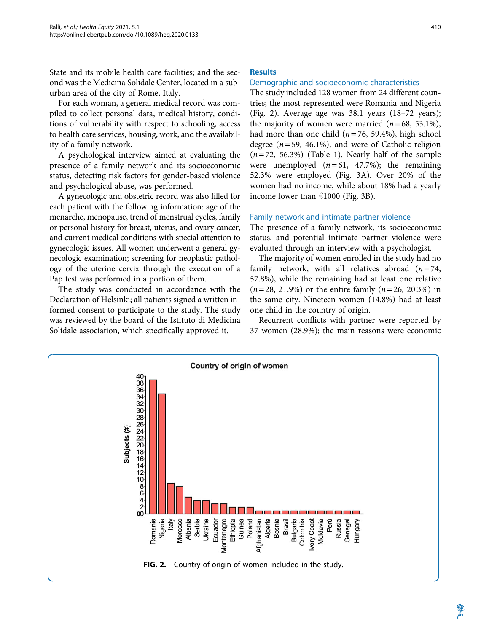State and its mobile health care facilities; and the second was the Medicina Solidale Center, located in a suburban area of the city of Rome, Italy.

For each woman, a general medical record was compiled to collect personal data, medical history, conditions of vulnerability with respect to schooling, access to health care services, housing, work, and the availability of a family network.

A psychological interview aimed at evaluating the presence of a family network and its socioeconomic status, detecting risk factors for gender-based violence and psychological abuse, was performed.

A gynecologic and obstetric record was also filled for each patient with the following information: age of the menarche, menopause, trend of menstrual cycles, family or personal history for breast, uterus, and ovary cancer, and current medical conditions with special attention to gynecologic issues. All women underwent a general gynecologic examination; screening for neoplastic pathology of the uterine cervix through the execution of a Pap test was performed in a portion of them.

The study was conducted in accordance with the Declaration of Helsinki; all patients signed a written informed consent to participate to the study. The study was reviewed by the board of the Istituto di Medicina Solidale association, which specifically approved it.

## **Results**

## Demographic and socioeconomic characteristics

The study included 128 women from 24 different countries; the most represented were Romania and Nigeria (Fig. 2). Average age was 38.1 years (18–72 years); the majority of women were married  $(n=68, 53.1\%)$ , had more than one child  $(n=76, 59.4\%)$ , high school degree ( $n = 59$ , 46.1%), and were of Catholic religion  $(n=72, 56.3%)$  (Table 1). Nearly half of the sample were unemployed  $(n=61, 47.7%)$ ; the remaining 52.3% were employed (Fig. 3A). Over 20% of the women had no income, while about 18% had a yearly income lower than  $\epsilon$ 1000 (Fig. 3B).

#### Family network and intimate partner violence

The presence of a family network, its socioeconomic status, and potential intimate partner violence were evaluated through an interview with a psychologist.

The majority of women enrolled in the study had no family network, with all relatives abroad  $(n=74,$ 57.8%), while the remaining had at least one relative  $(n=28, 21.9%)$  or the entire family  $(n=26, 20.3%)$  in the same city. Nineteen women (14.8%) had at least one child in the country of origin.

Recurrent conflicts with partner were reported by 37 women (28.9%); the main reasons were economic

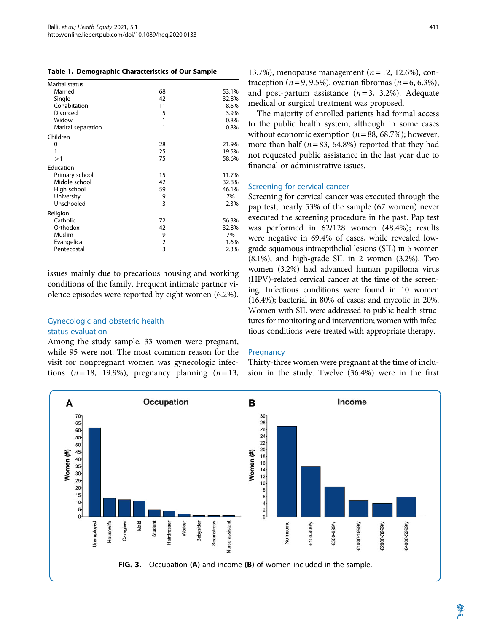|  |  | Table 1. Demographic Characteristics of Our Sample |  |  |
|--|--|----------------------------------------------------|--|--|
|--|--|----------------------------------------------------|--|--|

| Marital status     |                |       |
|--------------------|----------------|-------|
| Married            | 68             | 53.1% |
| Single             | 42             | 32.8% |
| Cohabitation       | 11             | 8.6%  |
| Divorced           | 5              | 3.9%  |
| Widow              | 1              | 0.8%  |
| Marital separation | 1              | 0.8%  |
| Children           |                |       |
| 0                  | 28             | 21.9% |
| 1                  | 25             | 19.5% |
| >1                 | 75             | 58.6% |
| Education          |                |       |
| Primary school     | 15             | 11.7% |
| Middle school      | 42             | 32.8% |
| High school        | 59             | 46.1% |
| University         | 9              | 7%    |
| Unschooled         | 3              | 2.3%  |
| Religion           |                |       |
| Catholic           | 72             | 56.3% |
| Orthodox           | 42             | 32.8% |
| Muslim             | 9              | 7%    |
| Evangelical        | $\overline{2}$ | 1.6%  |
| Pentecostal        | 3              | 2.3%  |

issues mainly due to precarious housing and working conditions of the family. Frequent intimate partner violence episodes were reported by eight women (6.2%).

## Gynecologic and obstetric health status evaluation

Among the study sample, 33 women were pregnant, while 95 were not. The most common reason for the visit for nonpregnant women was gynecologic infections  $(n=18, 19.9\%)$ , pregnancy planning  $(n=13,$ 

13.7%), menopause management ( $n = 12$ , 12.6%), contraception ( $n = 9, 9.5\%$ ), ovarian fibromas ( $n = 6, 6.3\%$ ), and post-partum assistance  $(n=3, 3.2\%)$ . Adequate medical or surgical treatment was proposed.

The majority of enrolled patients had formal access to the public health system, although in some cases without economic exemption ( $n = 88, 68.7\%$ ); however, more than half ( $n = 83$ , 64.8%) reported that they had not requested public assistance in the last year due to financial or administrative issues.

## Screening for cervical cancer

Screening for cervical cancer was executed through the pap test; nearly 53% of the sample (67 women) never executed the screening procedure in the past. Pap test was performed in 62/128 women (48.4%); results were negative in 69.4% of cases, while revealed lowgrade squamous intraepithelial lesions (SIL) in 5 women (8.1%), and high-grade SIL in 2 women (3.2%). Two women (3.2%) had advanced human papilloma virus (HPV)-related cervical cancer at the time of the screening. Infectious conditions were found in 10 women (16.4%); bacterial in 80% of cases; and mycotic in 20%. Women with SIL were addressed to public health structures for monitoring and intervention; women with infectious conditions were treated with appropriate therapy.

#### **Pregnancy**

Thirty-three women were pregnant at the time of inclusion in the study. Twelve (36.4%) were in the first

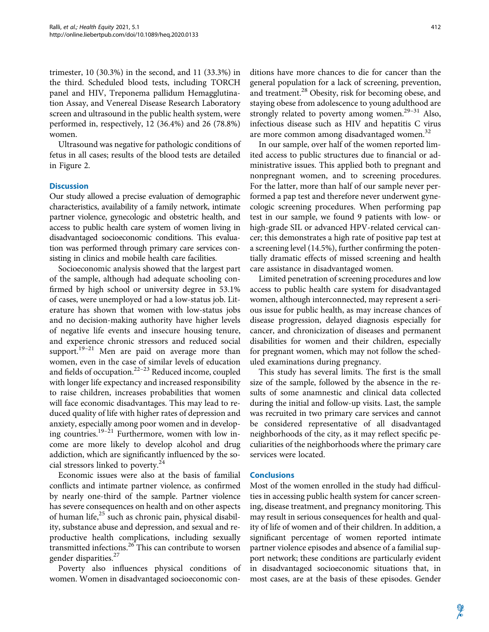trimester, 10 (30.3%) in the second, and 11 (33.3%) in the third. Scheduled blood tests, including TORCH panel and HIV, Treponema pallidum Hemagglutination Assay, and Venereal Disease Research Laboratory screen and ultrasound in the public health system, were performed in, respectively, 12 (36.4%) and 26 (78.8%) women.

Ultrasound was negative for pathologic conditions of fetus in all cases; results of the blood tests are detailed in Figure 2.

#### **Discussion**

Our study allowed a precise evaluation of demographic characteristics, availability of a family network, intimate partner violence, gynecologic and obstetric health, and access to public health care system of women living in disadvantaged socioeconomic conditions. This evaluation was performed through primary care services consisting in clinics and mobile health care facilities.

Socioeconomic analysis showed that the largest part of the sample, although had adequate schooling confirmed by high school or university degree in 53.1% of cases, were unemployed or had a low-status job. Literature has shown that women with low-status jobs and no decision-making authority have higher levels of negative life events and insecure housing tenure, and experience chronic stressors and reduced social support.<sup>19-21</sup> Men are paid on average more than women, even in the case of similar levels of education and fields of occupation. $22-23$  Reduced income, coupled with longer life expectancy and increased responsibility to raise children, increases probabilities that women will face economic disadvantages. This may lead to reduced quality of life with higher rates of depression and anxiety, especially among poor women and in developing countries.<sup>19–21</sup> Furthermore, women with low income are more likely to develop alcohol and drug addiction, which are significantly influenced by the social stressors linked to poverty.24

Economic issues were also at the basis of familial conflicts and intimate partner violence, as confirmed by nearly one-third of the sample. Partner violence has severe consequences on health and on other aspects of human life, $^{25}$  such as chronic pain, physical disability, substance abuse and depression, and sexual and reproductive health complications, including sexually transmitted infections.26 This can contribute to worsen gender disparities.<sup>27</sup>

Poverty also influences physical conditions of women. Women in disadvantaged socioeconomic conditions have more chances to die for cancer than the general population for a lack of screening, prevention, and treatment.<sup>28</sup> Obesity, risk for becoming obese, and staying obese from adolescence to young adulthood are strongly related to poverty among women.<sup>29-31</sup> Also, infectious disease such as HIV and hepatitis C virus are more common among disadvantaged women.<sup>32</sup>

In our sample, over half of the women reported limited access to public structures due to financial or administrative issues. This applied both to pregnant and nonpregnant women, and to screening procedures. For the latter, more than half of our sample never performed a pap test and therefore never underwent gynecologic screening procedures. When performing pap test in our sample, we found 9 patients with low- or high-grade SIL or advanced HPV-related cervical cancer; this demonstrates a high rate of positive pap test at a screening level (14.5%), further confirming the potentially dramatic effects of missed screening and health care assistance in disadvantaged women.

Limited penetration of screening procedures and low access to public health care system for disadvantaged women, although interconnected, may represent a serious issue for public health, as may increase chances of disease progression, delayed diagnosis especially for cancer, and chronicization of diseases and permanent disabilities for women and their children, especially for pregnant women, which may not follow the scheduled examinations during pregnancy.

This study has several limits. The first is the small size of the sample, followed by the absence in the results of some anamnestic and clinical data collected during the initial and follow-up visits. Last, the sample was recruited in two primary care services and cannot be considered representative of all disadvantaged neighborhoods of the city, as it may reflect specific peculiarities of the neighborhoods where the primary care services were located.

### **Conclusions**

Most of the women enrolled in the study had difficulties in accessing public health system for cancer screening, disease treatment, and pregnancy monitoring. This may result in serious consequences for health and quality of life of women and of their children. In addition, a significant percentage of women reported intimate partner violence episodes and absence of a familial support network; these conditions are particularly evident in disadvantaged socioeconomic situations that, in most cases, are at the basis of these episodes. Gender